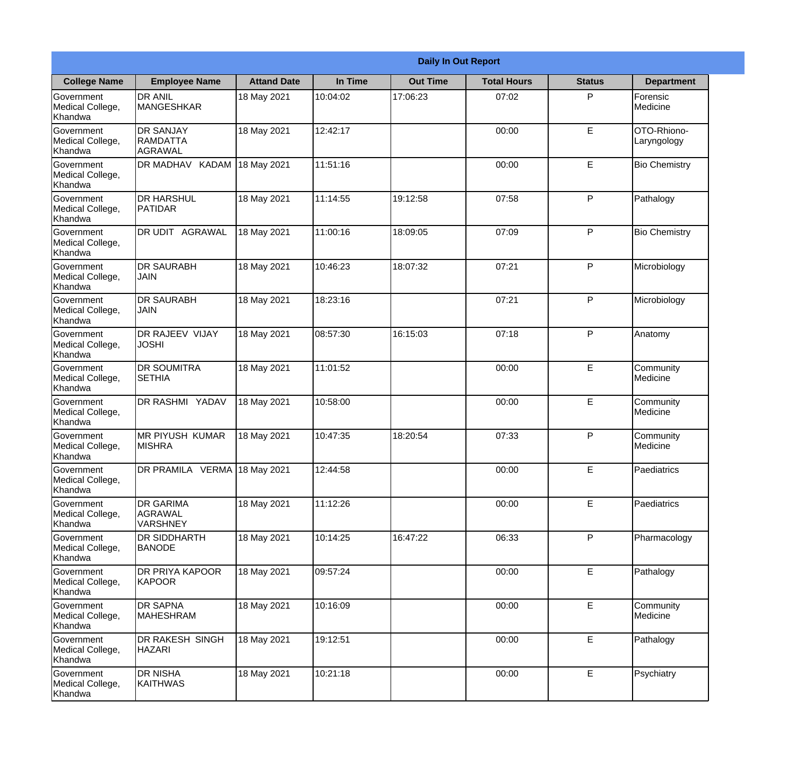|                                                  | <b>Daily In Out Report</b>                     |                    |          |                 |                    |               |                            |  |
|--------------------------------------------------|------------------------------------------------|--------------------|----------|-----------------|--------------------|---------------|----------------------------|--|
| <b>College Name</b>                              | <b>Employee Name</b>                           | <b>Attand Date</b> | In Time  | <b>Out Time</b> | <b>Total Hours</b> | <b>Status</b> | <b>Department</b>          |  |
| Government<br>Medical College,<br>Khandwa        | <b>DR ANIL</b><br><b>MANGESHKAR</b>            | 18 May 2021        | 10:04:02 | 17:06:23        | 07:02              | P             | Forensic<br>Medicine       |  |
| Government<br>Medical College,<br>Khandwa        | <b>DR SANJAY</b><br><b>RAMDATTA</b><br>AGRAWAL | 18 May 2021        | 12:42:17 |                 | 00:00              | $\mathsf E$   | OTO-Rhiono-<br>Laryngology |  |
| <b>Government</b><br>Medical College,<br>Khandwa | <b>DR MADHAV</b><br><b>KADAM</b>               | 18 May 2021        | 11:51:16 |                 | 00:00              | E             | <b>Bio Chemistry</b>       |  |
| <b>Government</b><br>Medical College,<br>Khandwa | <b>DR HARSHUL</b><br>PATIDAR                   | 18 May 2021        | 11:14:55 | 19:12:58        | 07:58              | P             | Pathalogy                  |  |
| Government<br>Medical College,<br>Khandwa        | <b>DR UDIT AGRAWAL</b>                         | 18 May 2021        | 11:00:16 | 18:09:05        | 07:09              | P             | <b>Bio Chemistry</b>       |  |
| Government<br>Medical College,<br>Khandwa        | <b>IDR SAURABH</b><br><b>JAIN</b>              | 18 May 2021        | 10:46:23 | 18:07:32        | 07:21              | P             | Microbiology               |  |
| <b>Government</b><br>Medical College,<br>Khandwa | <b>DR SAURABH</b><br><b>JAIN</b>               | 18 May 2021        | 18:23:16 |                 | 07:21              | P             | Microbiology               |  |
| <b>Government</b><br>Medical College,<br>Khandwa | <b>DR RAJEEV VIJAY</b><br><b>JOSHI</b>         | 18 May 2021        | 08:57:30 | 16:15:03        | 07:18              | P             | Anatomy                    |  |
| Government<br>Medical College,<br>Khandwa        | <b>DR SOUMITRA</b><br><b>SETHIA</b>            | 18 May 2021        | 11:01:52 |                 | 00:00              | E             | Community<br>Medicine      |  |
| Government<br>Medical College,<br>Khandwa        | <b>DR RASHMI YADAV</b>                         | 18 May 2021        | 10:58:00 |                 | 00:00              | E             | Community<br>Medicine      |  |
| Government<br>Medical College,<br>Khandwa        | IMR PIYUSH KUMAR<br><b>MISHRA</b>              | 18 May 2021        | 10:47:35 | 18:20:54        | 07:33              | P             | Community<br>Medicine      |  |
| Government<br>Medical College,<br>Khandwa        | DR PRAMILA VERMA 18 May 2021                   |                    | 12:44:58 |                 | 00:00              | E             | Paediatrics                |  |
| Government<br>Medical College,<br>Khandwa        | <b>DR GARIMA</b><br>AGRAWAL<br><b>VARSHNEY</b> | 18 May 2021        | 11:12:26 |                 | 00:00              | E             | Paediatrics                |  |
| Government<br>Medical College,<br>Khandwa        | <b>DR SIDDHARTH</b><br><b>BANODE</b>           | 18 May 2021        | 10:14:25 | 16:47:22        | 06:33              | P             | Pharmacology               |  |
| Government<br>Medical College,<br>Khandwa        | <b>DR PRIYA KAPOOR</b><br>KAPOOR               | 18 May 2021        | 09:57:24 |                 | 00:00              | E             | Pathalogy                  |  |
| Government<br>Medical College,<br>Khandwa        | <b>DR SAPNA</b><br><b>MAHESHRAM</b>            | 18 May 2021        | 10:16:09 |                 | 00:00              | E             | Community<br>Medicine      |  |
| Government<br>Medical College,<br>Khandwa        | DR RAKESH SINGH<br><b>HAZARI</b>               | 18 May 2021        | 19:12:51 |                 | 00:00              | E             | Pathalogy                  |  |
| Government<br>Medical College,<br>Khandwa        | <b>DR NISHA</b><br>KAITHWAS                    | 18 May 2021        | 10:21:18 |                 | 00:00              | $\mathsf E$   | Psychiatry                 |  |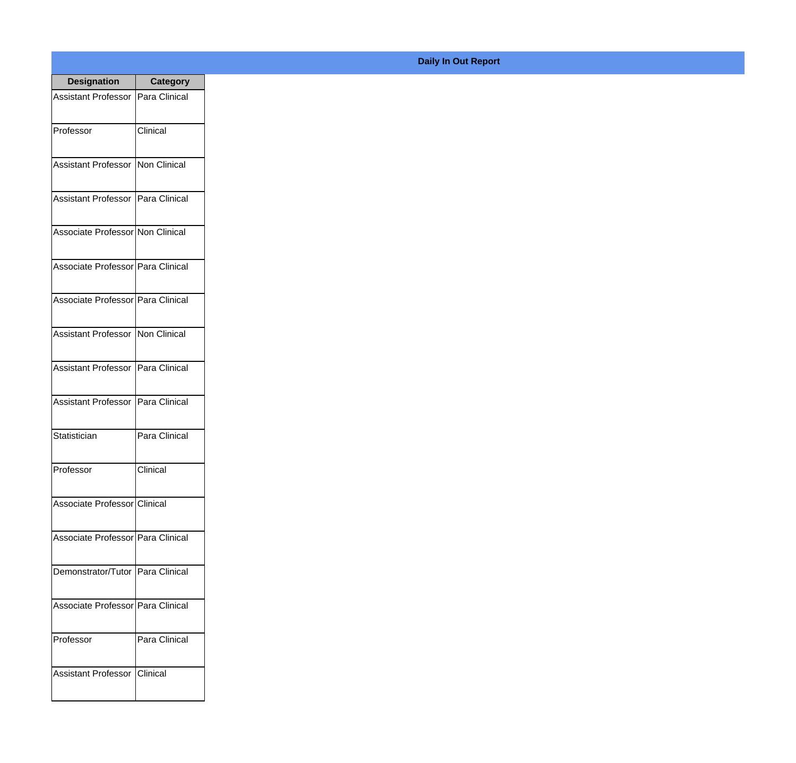| <b>Designation</b>                  | <b>Category</b> |
|-------------------------------------|-----------------|
| Assistant Professor   Para Clinical |                 |
| Professor                           | Clinical        |
| <b>Assistant Professor</b>          | Non Clinical    |
| <b>Assistant Professor</b>          | Para Clinical   |
| Associate Professor Non Clinical    |                 |
| Associate Professor Para Clinical   |                 |
| Associate Professor   Para Clinical |                 |
| Assistant Professor   Non Clinical  |                 |
| Assistant Professor   Para Clinical |                 |
| <b>Assistant Professor</b>          | Para Clinical   |
| Statistician                        | Para Clinical   |
| Professor                           | Clinical        |
| Associate Professor Clinical        |                 |
| Associate Professor Para Clinical   |                 |
| Demonstrator/Tutor   Para Clinical  |                 |
| Associate Professor   Para Clinical |                 |
| Professor                           | Para Clinical   |
| Assistant Professor   Clinical      |                 |

## **Daily In Out Report**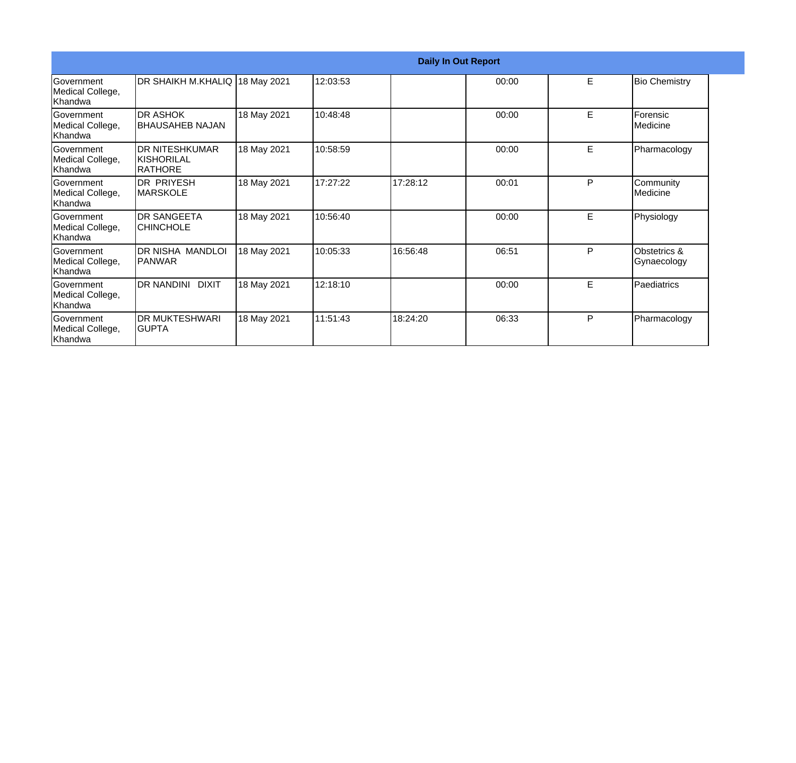| <b>Daily In Out Report</b>                       |                                                 |             |          |          |       |   |                             |
|--------------------------------------------------|-------------------------------------------------|-------------|----------|----------|-------|---|-----------------------------|
| Government<br>Medical College,<br>Khandwa        | DR SHAIKH M.KHALIQ 18 May 2021                  |             | 12:03:53 |          | 00:00 | E | <b>Bio Chemistry</b>        |
| Government<br>Medical College,<br>Khandwa        | <b>DR ASHOK</b><br>BHAUSAHEB NAJAN              | 18 May 2021 | 10:48:48 |          | 00:00 | E | Forensic<br>Medicine        |
| Government<br>Medical College,<br>Khandwa        | <b>DR NITESHKUMAR</b><br>IKISHORILAL<br>RATHORE | 18 May 2021 | 10:58:59 |          | 00:00 | E | Pharmacology                |
| <b>Government</b><br>Medical College,<br>Khandwa | <b>DR PRIYESH</b><br><b>MARSKOLE</b>            | 18 May 2021 | 17:27:22 | 17:28:12 | 00:01 | P | Community<br>Medicine       |
| Government<br>Medical College,<br>Khandwa        | <b>DR SANGEETA</b><br><b>CHINCHOLE</b>          | 18 May 2021 | 10:56:40 |          | 00:00 | E | Physiology                  |
| Government<br>Medical College,<br>Khandwa        | DR NISHA MANDLOI<br>IPANWAR                     | 18 May 2021 | 10:05:33 | 16:56:48 | 06:51 | P | Obstetrics &<br>Gynaecology |
| Government<br>Medical College,<br>Khandwa        | DR NANDINI DIXIT                                | 18 May 2021 | 12:18:10 |          | 00:00 | Е | Paediatrics                 |
| Government<br>Medical College,<br>Khandwa        | <b>DR MUKTESHWARI</b><br>IGUPTA                 | 18 May 2021 | 11:51:43 | 18:24:20 | 06:33 | P | Pharmacology                |